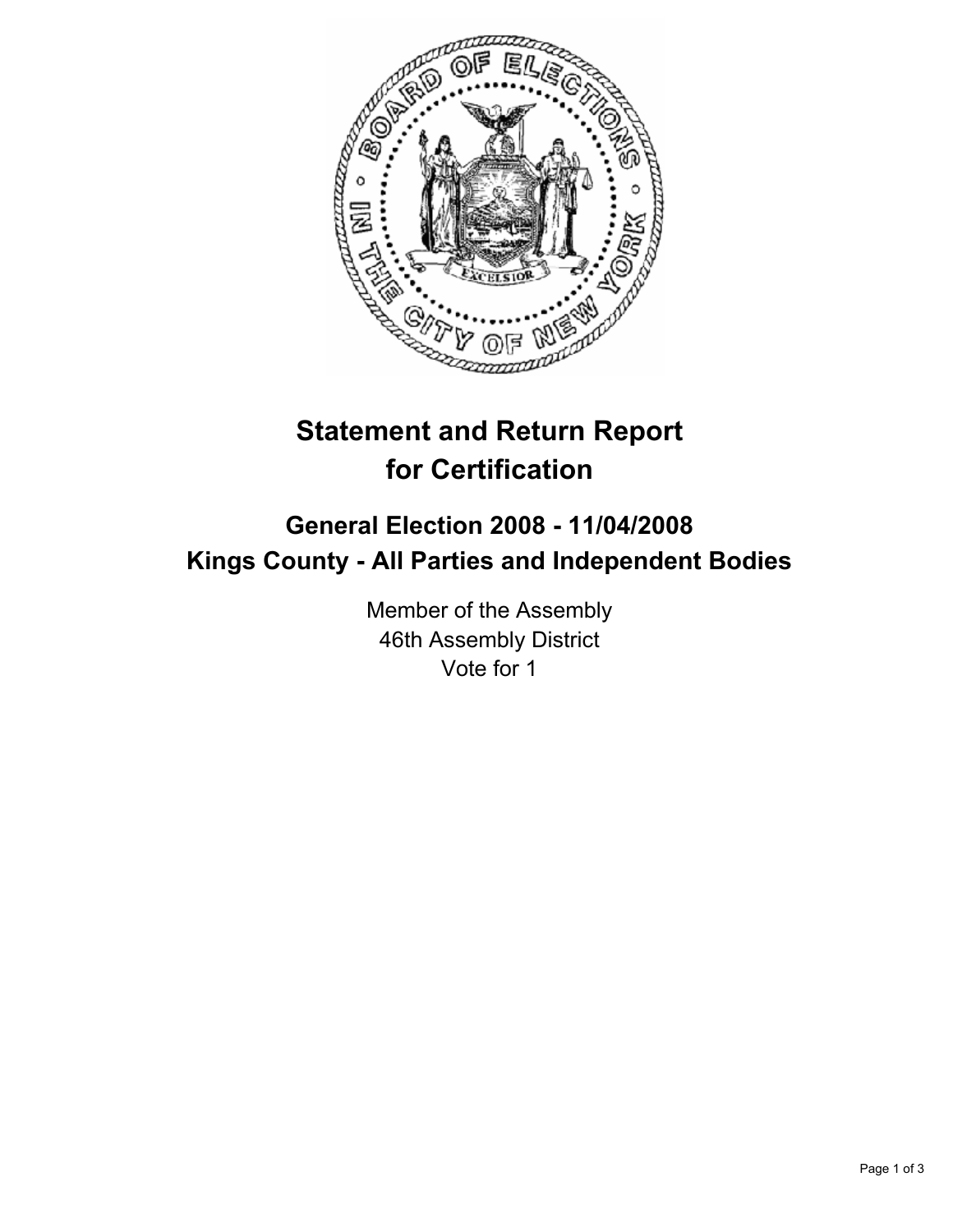

# **Statement and Return Report for Certification**

## **General Election 2008 - 11/04/2008 Kings County - All Parties and Independent Bodies**

Member of the Assembly 46th Assembly District Vote for 1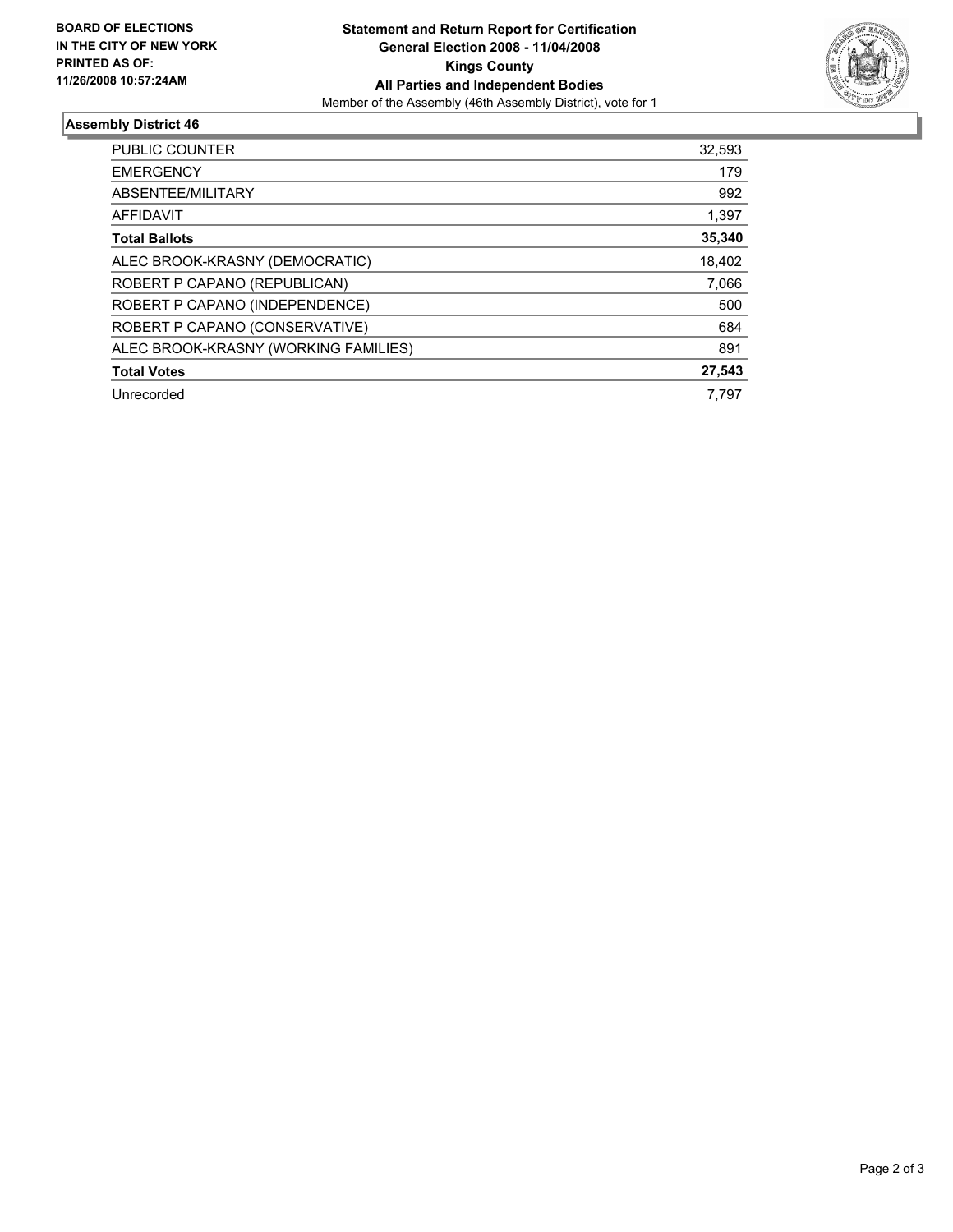

### **Assembly District 46**

| <b>PUBLIC COUNTER</b>                | 32,593 |
|--------------------------------------|--------|
| <b>EMERGENCY</b>                     | 179    |
| ABSENTEE/MILITARY                    | 992    |
| AFFIDAVIT                            | 1,397  |
| <b>Total Ballots</b>                 | 35,340 |
| ALEC BROOK-KRASNY (DEMOCRATIC)       | 18,402 |
| ROBERT P CAPANO (REPUBLICAN)         | 7,066  |
| ROBERT P CAPANO (INDEPENDENCE)       | 500    |
| ROBERT P CAPANO (CONSERVATIVE)       | 684    |
| ALEC BROOK-KRASNY (WORKING FAMILIES) | 891    |
| <b>Total Votes</b>                   | 27,543 |
| Unrecorded                           | 7.797  |